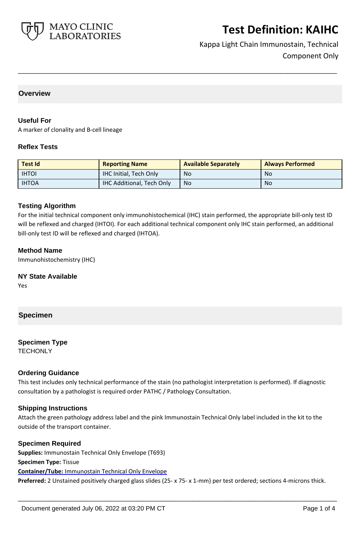

Kappa Light Chain Immunostain, Technical Component Only

## **Overview**

#### **Useful For**

A marker of clonality and B-cell lineage

#### **Reflex Tests**

| <b>Test Id</b> | <b>Reporting Name</b>            | <b>Available Separately</b> | <b>Always Performed</b> |
|----------------|----------------------------------|-----------------------------|-------------------------|
| <b>IHTOI</b>   | <b>IHC Initial, Tech Only</b>    | <b>No</b>                   | No                      |
| <b>IHTOA</b>   | <b>IHC Additional, Tech Only</b> | <b>No</b>                   | No                      |

**\_\_\_\_\_\_\_\_\_\_\_\_\_\_\_\_\_\_\_\_\_\_\_\_\_\_\_\_\_\_\_\_\_\_\_\_\_\_\_\_\_\_\_\_\_\_\_\_\_\_\_**

## **Testing Algorithm**

For the initial technical component only immunohistochemical (IHC) stain performed, the appropriate bill-only test ID will be reflexed and charged (IHTOI). For each additional technical component only IHC stain performed, an additional bill-only test ID will be reflexed and charged (IHTOA).

#### **Method Name**

Immunohistochemistry (IHC)

# **NY State Available**

Yes

# **Specimen**

# **Specimen Type**

**TECHONLY** 

#### **Ordering Guidance**

This test includes only technical performance of the stain (no pathologist interpretation is performed). If diagnostic consultation by a pathologist is required order PATHC / Pathology Consultation.

#### **Shipping Instructions**

Attach the green pathology address label and the pink Immunostain Technical Only label included in the kit to the outside of the transport container.

#### **Specimen Required**

**Supplies:** Immunostain Technical Only Envelope (T693) **Specimen Type:** Tissue **Container/Tube:** Immunostain Technical Only Envelope **Preferred:** 2 Unstained positively charged glass slides (25- x 75- x 1-mm) per test ordered; sections 4-microns thick.

**\_\_\_\_\_\_\_\_\_\_\_\_\_\_\_\_\_\_\_\_\_\_\_\_\_\_\_\_\_\_\_\_\_\_\_\_\_\_\_\_\_\_\_\_\_\_\_\_\_\_\_**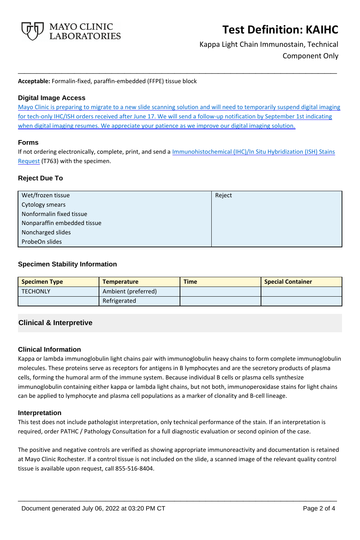

Kappa Light Chain Immunostain, Technical Component Only

**Acceptable:** Formalin-fixed, paraffin-embedded (FFPE) tissue block

## **Digital Image Access**

Mayo Clinic is preparing to migrate to a new slide scanning solution and will need to temporarily suspend digital imaging for tech-only IHC/ISH orders received after June 17. We will send a follow-up notification by September 1st indicating when digital imaging resumes. We appreciate your patience as we improve our digital imaging solution.

**\_\_\_\_\_\_\_\_\_\_\_\_\_\_\_\_\_\_\_\_\_\_\_\_\_\_\_\_\_\_\_\_\_\_\_\_\_\_\_\_\_\_\_\_\_\_\_\_\_\_\_**

#### **Forms**

If not ordering electronically, complete, print, and send a *Immunohistochemical (IHC)/In Situ Hybridization (ISH) Stains* [Request](https://www.mayocliniclabs.com/it-mmfiles/ihc-and-ish-stain-request-form-mc0767-09a.pdf) (T763) with the specimen.

## **Reject Due To**

| Wet/frozen tissue           | Reject |
|-----------------------------|--------|
| Cytology smears             |        |
| Nonformalin fixed tissue    |        |
| Nonparaffin embedded tissue |        |
| Noncharged slides           |        |
| ProbeOn slides              |        |

## **Specimen Stability Information**

| <b>Specimen Type</b> | <b>Temperature</b>  | <b>Time</b> | <b>Special Container</b> |
|----------------------|---------------------|-------------|--------------------------|
| <b>TECHONLY</b>      | Ambient (preferred) |             |                          |
|                      | Refrigerated        |             |                          |

# **Clinical & Interpretive**

#### **Clinical Information**

Kappa or lambda immunoglobulin light chains pair with immunoglobulin heavy chains to form complete immunoglobulin molecules. These proteins serve as receptors for antigens in B lymphocytes and are the secretory products of plasma cells, forming the humoral arm of the immune system. Because individual B cells or plasma cells synthesize immunoglobulin containing either kappa or lambda light chains, but not both, immunoperoxidase stains for light chains can be applied to lymphocyte and plasma cell populations as a marker of clonality and B-cell lineage.

#### **Interpretation**

This test does not include pathologist interpretation, only technical performance of the stain. If an interpretation is required, order PATHC / Pathology Consultation for a full diagnostic evaluation or second opinion of the case.

The positive and negative controls are verified as showing appropriate immunoreactivity and documentation is retained at Mayo Clinic Rochester. If a control tissue is not included on the slide, a scanned image of the relevant quality control tissue is available upon request, call 855-516-8404.

**\_\_\_\_\_\_\_\_\_\_\_\_\_\_\_\_\_\_\_\_\_\_\_\_\_\_\_\_\_\_\_\_\_\_\_\_\_\_\_\_\_\_\_\_\_\_\_\_\_\_\_**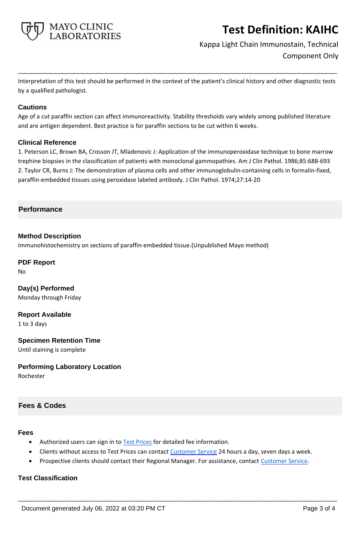

Kappa Light Chain Immunostain, Technical Component Only

Interpretation of this test should be performed in the context of the patient's clinical history and other diagnostic tests by a qualified pathologist.

**\_\_\_\_\_\_\_\_\_\_\_\_\_\_\_\_\_\_\_\_\_\_\_\_\_\_\_\_\_\_\_\_\_\_\_\_\_\_\_\_\_\_\_\_\_\_\_\_\_\_\_**

#### **Cautions**

Age of a cut paraffin section can affect immunoreactivity. Stability thresholds vary widely among published literature and are antigen dependent. Best practice is for paraffin sections to be cut within 6 weeks.

#### **Clinical Reference**

1. Peterson LC, Brown BA, Crosson JT, Mladenovic J: Application of the immunoperoxidase technique to bone marrow trephine biopsies in the classification of patients with monoclonal gammopathies. Am J Clin Pathol. 1986;85:688-693 2. Taylor CR, Burns J: The demonstration of plasma cells and other immunoglobulin-containing cells in formalin-fixed, paraffin-embedded tissues using peroxidase labeled antibody. J Clin Pathol. 1974;27:14-20

#### **Performance**

#### **Method Description**

Immunohistochemistry on sections of paraffin-embedded tissue.(Unpublished Mayo method)

# **PDF Report**

No

**Day(s) Performed** Monday through Friday

**Report Available**

1 to 3 days

#### **Specimen Retention Time**

Until staining is complete

#### **Performing Laboratory Location**

Rochester

#### **Fees & Codes**

#### **Fees**

- Authorized users can sign in to [Test Prices](https://www.mayocliniclabs.com/customer-service/client-price-lookup/index.html?unit_code=KAIHC) for detailed fee information.
- Clients without access to Test Prices can contact [Customer Service](http://www.mayocliniclabs.com/customer-service/contacts.html) 24 hours a day, seven days a week.
- Prospective clients should contact their Regional Manager. For assistance, contact [Customer Service.](http://www.mayocliniclabs.com/customer-service/contacts.html)

**\_\_\_\_\_\_\_\_\_\_\_\_\_\_\_\_\_\_\_\_\_\_\_\_\_\_\_\_\_\_\_\_\_\_\_\_\_\_\_\_\_\_\_\_\_\_\_\_\_\_\_**

# **Test Classification**